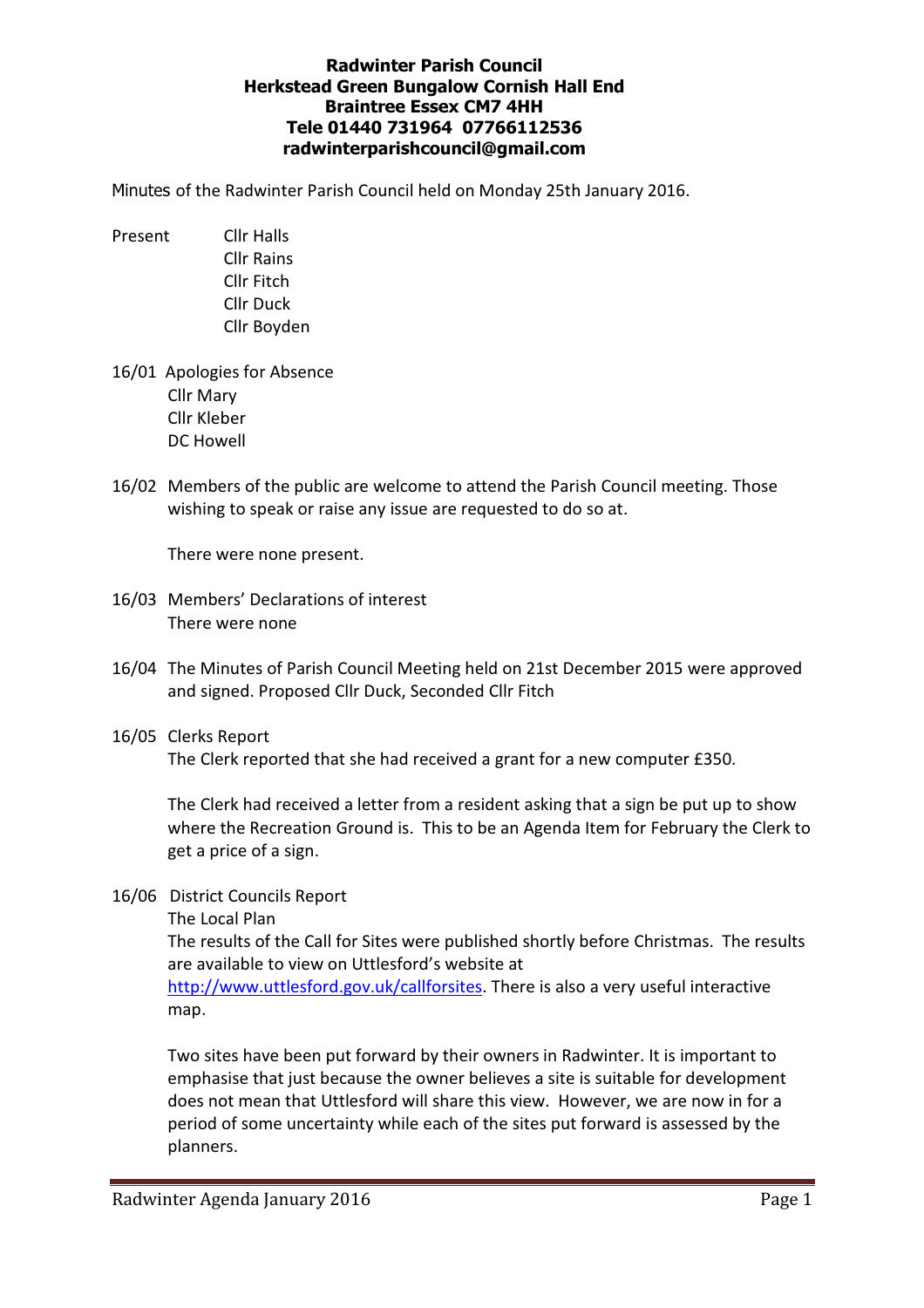## Radwinter Parish Council Herkstead Green Bungalow Cornish Hall End Braintree Essex CM7 4HH Tele 01440 731964 07766112536 radwinterparishcouncil@gmail.com

Minutes of the Radwinter Parish Council held on Monday 25th January 2016.

- Present Cllr Halls Cllr Rains Cllr Fitch Cllr Duck Cllr Boyden
- 16/01 Apologies for Absence Cllr Mary Cllr Kleber DC Howell
- 16/02 Members of the public are welcome to attend the Parish Council meeting. Those wishing to speak or raise any issue are requested to do so at.

There were none present.

- 16/03 Members' Declarations of interest There were none
- 16/04 The Minutes of Parish Council Meeting held on 21st December 2015 were approved and signed. Proposed Cllr Duck, Seconded Cllr Fitch
- 16/05 Clerks Report The Clerk reported that she had received a grant for a new computer £350.

 The Clerk had received a letter from a resident asking that a sign be put up to show where the Recreation Ground is. This to be an Agenda Item for February the Clerk to get a price of a sign.

16/06 District Councils Report

The Local Plan

 The results of the Call for Sites were published shortly before Christmas. The results are available to view on Uttlesford's website at

http://www.uttlesford.gov.uk/callforsites. There is also a very useful interactive map.

 Two sites have been put forward by their owners in Radwinter. It is important to emphasise that just because the owner believes a site is suitable for development does not mean that Uttlesford will share this view. However, we are now in for a period of some uncertainty while each of the sites put forward is assessed by the planners.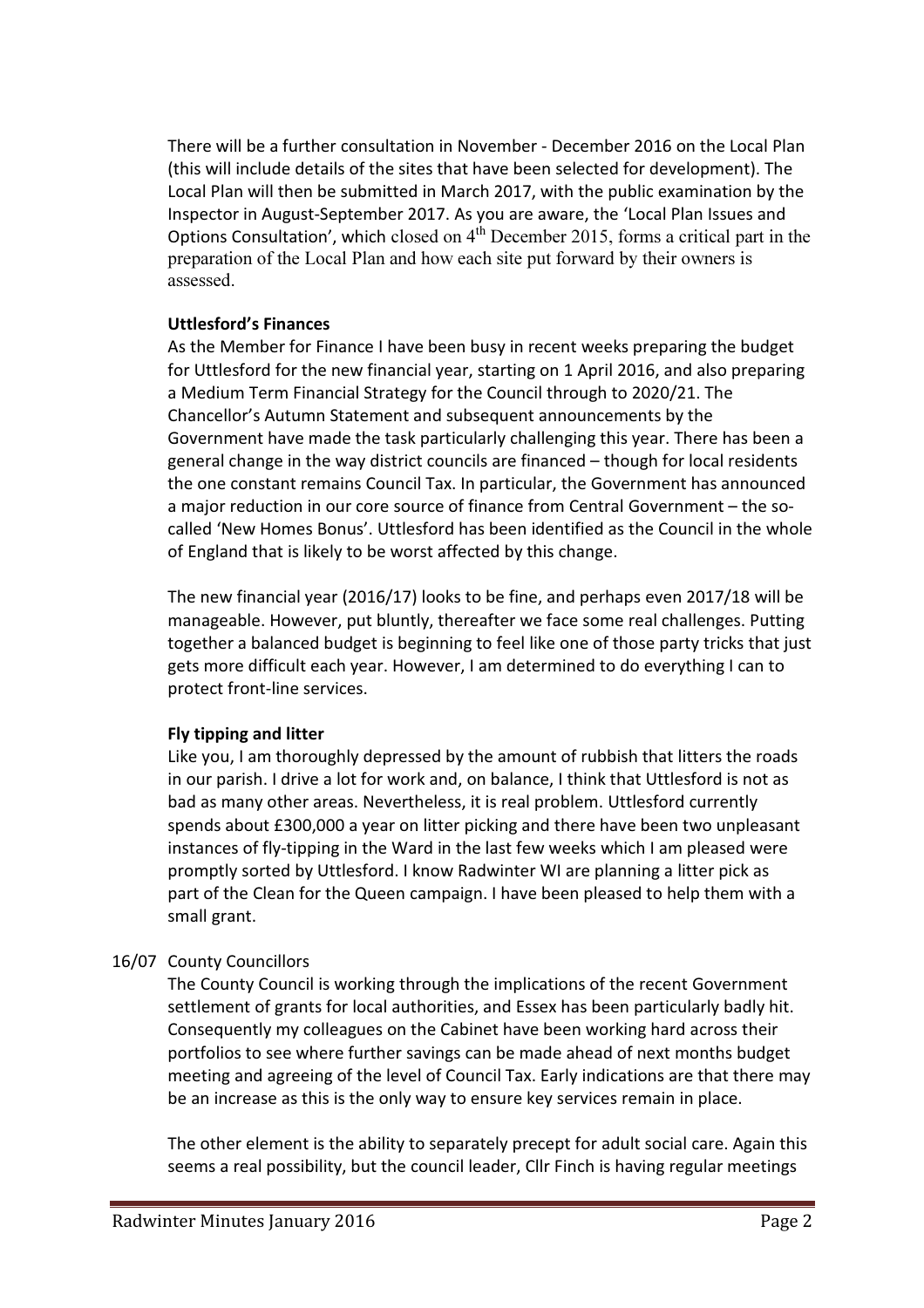There will be a further consultation in November - December 2016 on the Local Plan (this will include details of the sites that have been selected for development). The Local Plan will then be submitted in March 2017, with the public examination by the Inspector in August-September 2017. As you are aware, the 'Local Plan Issues and Options Consultation', which closed on  $4<sup>th</sup>$  December 2015, forms a critical part in the preparation of the Local Plan and how each site put forward by their owners is assessed.

# Uttlesford's Finances

 As the Member for Finance I have been busy in recent weeks preparing the budget for Uttlesford for the new financial year, starting on 1 April 2016, and also preparing a Medium Term Financial Strategy for the Council through to 2020/21. The Chancellor's Autumn Statement and subsequent announcements by the Government have made the task particularly challenging this year. There has been a general change in the way district councils are financed – though for local residents the one constant remains Council Tax. In particular, the Government has announced a major reduction in our core source of finance from Central Government – the so called 'New Homes Bonus'. Uttlesford has been identified as the Council in the whole of England that is likely to be worst affected by this change.

 The new financial year (2016/17) looks to be fine, and perhaps even 2017/18 will be manageable. However, put bluntly, thereafter we face some real challenges. Putting together a balanced budget is beginning to feel like one of those party tricks that just gets more difficult each year. However, I am determined to do everything I can to protect front-line services.

# Fly tipping and litter

 Like you, I am thoroughly depressed by the amount of rubbish that litters the roads in our parish. I drive a lot for work and, on balance, I think that Uttlesford is not as bad as many other areas. Nevertheless, it is real problem. Uttlesford currently spends about £300,000 a year on litter picking and there have been two unpleasant instances of fly-tipping in the Ward in the last few weeks which I am pleased were promptly sorted by Uttlesford. I know Radwinter WI are planning a litter pick as part of the Clean for the Queen campaign. I have been pleased to help them with a small grant.

# 16/07 County Councillors

 The County Council is working through the implications of the recent Government settlement of grants for local authorities, and Essex has been particularly badly hit. Consequently my colleagues on the Cabinet have been working hard across their portfolios to see where further savings can be made ahead of next months budget meeting and agreeing of the level of Council Tax. Early indications are that there may be an increase as this is the only way to ensure key services remain in place.

 The other element is the ability to separately precept for adult social care. Again this seems a real possibility, but the council leader, Cllr Finch is having regular meetings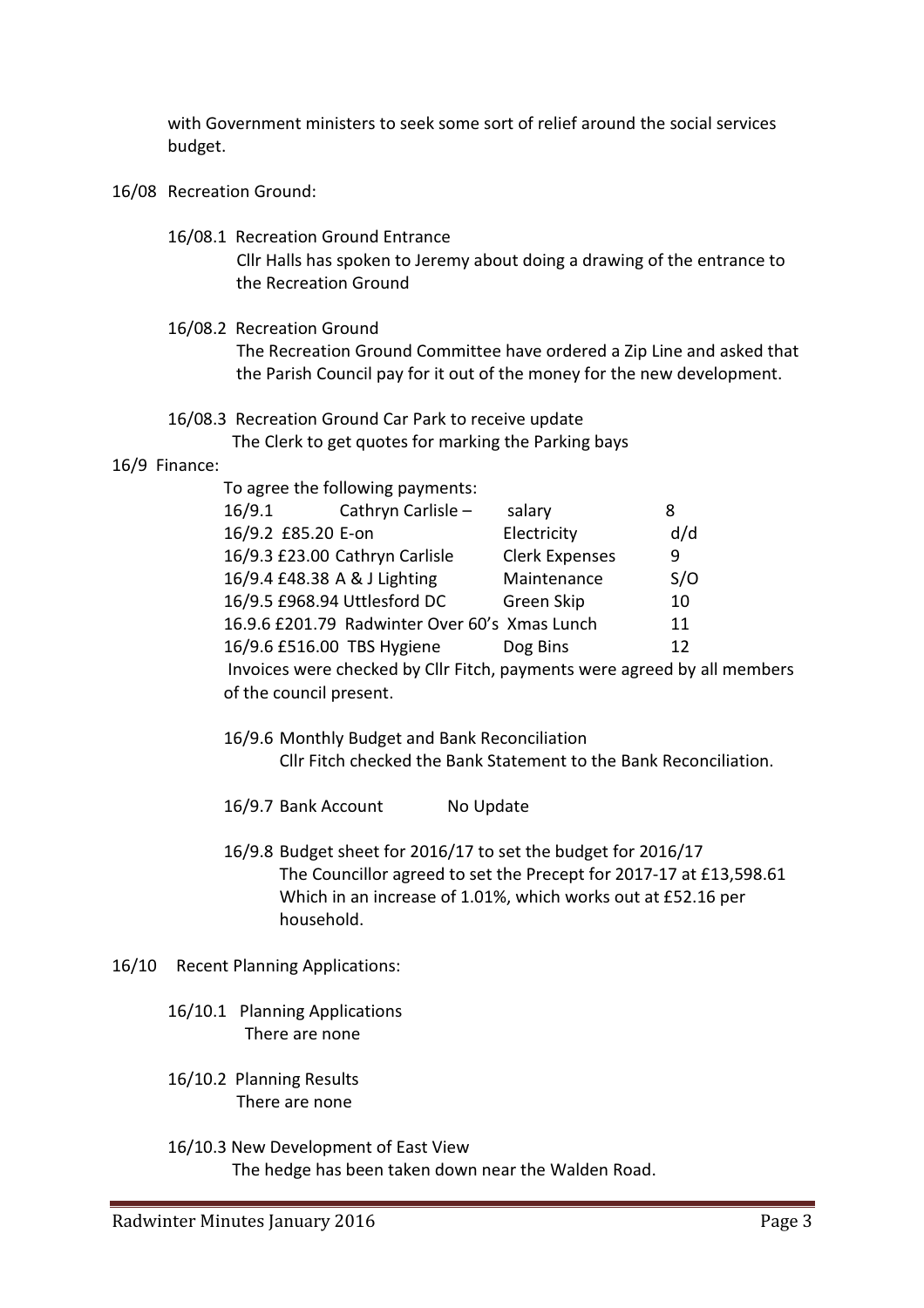with Government ministers to seek some sort of relief around the social services budget.

- 16/08 Recreation Ground:
	- 16/08.1 Recreation Ground Entrance Cllr Halls has spoken to Jeremy about doing a drawing of the entrance to the Recreation Ground
	- 16/08.2 Recreation Ground

 The Recreation Ground Committee have ordered a Zip Line and asked that the Parish Council pay for it out of the money for the new development.

## 16/08.3 Recreation Ground Car Park to receive update The Clerk to get quotes for marking the Parking bays

#### 16/9 Finance:

| To agree the following payments: |                                               |                                                                          |     |
|----------------------------------|-----------------------------------------------|--------------------------------------------------------------------------|-----|
| 16/9.1                           | Cathryn Carlisle -                            | salary                                                                   | 8   |
| 16/9.2 £85.20 E-on               |                                               | Electricity                                                              | d/d |
|                                  | 16/9.3 £23.00 Cathryn Carlisle                | <b>Clerk Expenses</b>                                                    | 9   |
| 16/9.4 £48.38 A & J Lighting     |                                               | Maintenance                                                              | S/O |
|                                  | 16/9.5 £968.94 Uttlesford DC                  | Green Skip                                                               | 10  |
|                                  | 16.9.6 £201.79 Radwinter Over 60's Xmas Lunch |                                                                          | 11  |
| 16/9.6 £516.00 TBS Hygiene       |                                               | Dog Bins                                                                 | 12  |
|                                  |                                               | Invoices were checked by Cllr Fitch, payments were agreed by all members |     |

- 16/9.6 Monthly Budget and Bank Reconciliation Cllr Fitch checked the Bank Statement to the Bank Reconciliation.
- 16/9.7 Bank Account No Update
- 16/9.8 Budget sheet for 2016/17 to set the budget for 2016/17 The Councillor agreed to set the Precept for 2017-17 at £13,598.61 Which in an increase of 1.01%, which works out at £52.16 per household.
- 16/10 Recent Planning Applications:
	- 16/10.1 Planning Applications There are none

of the council present.

- 16/10.2 Planning Results There are none
- 16/10.3 New Development of East View The hedge has been taken down near the Walden Road.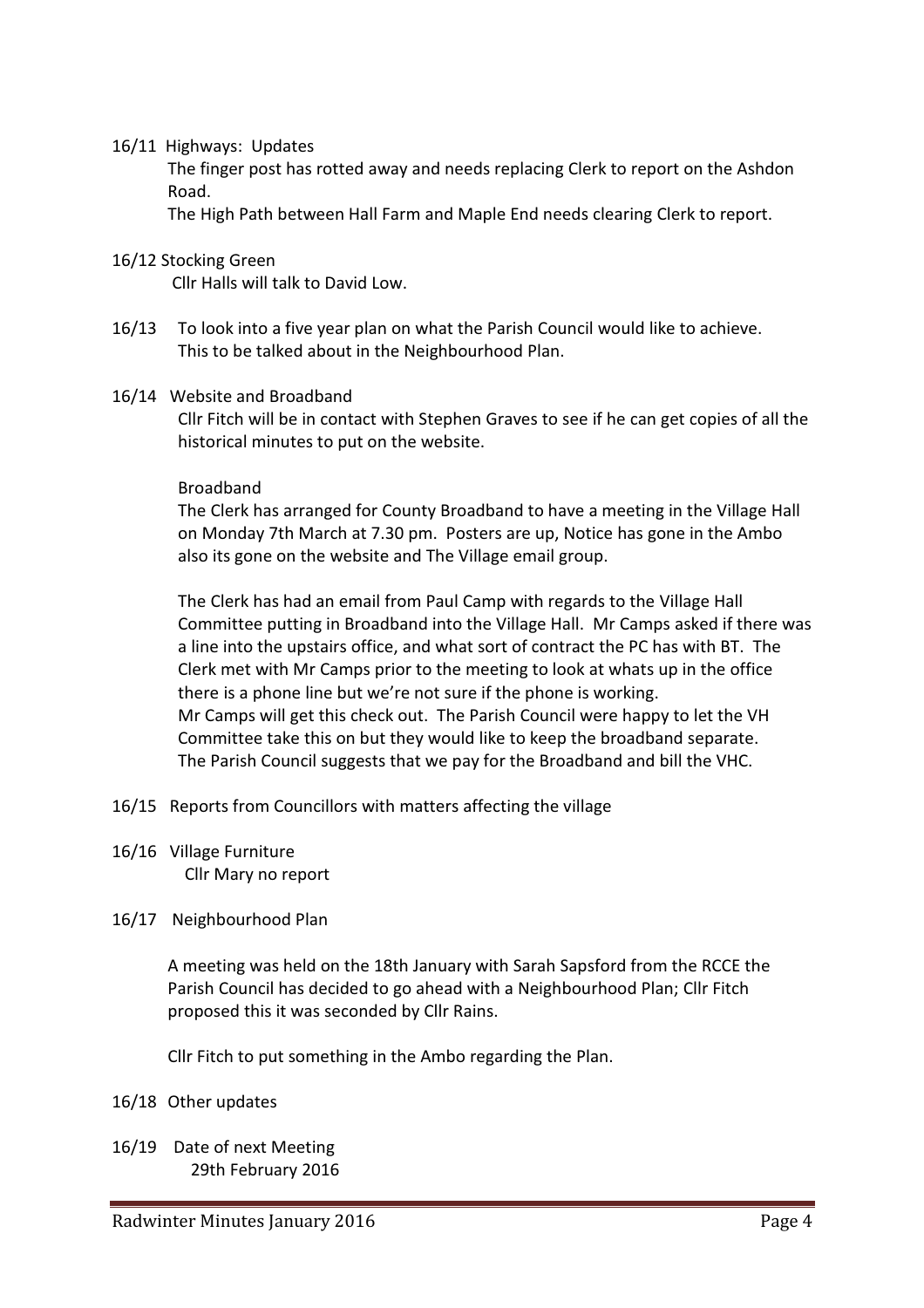### 16/11 Highways: Updates

 The finger post has rotted away and needs replacing Clerk to report on the Ashdon Road.

The High Path between Hall Farm and Maple End needs clearing Clerk to report.

## 16/12 Stocking Green

Cllr Halls will talk to David Low.

16/13 To look into a five year plan on what the Parish Council would like to achieve. This to be talked about in the Neighbourhood Plan.

#### 16/14 Website and Broadband

 Cllr Fitch will be in contact with Stephen Graves to see if he can get copies of all the historical minutes to put on the website.

#### Broadband

 The Clerk has arranged for County Broadband to have a meeting in the Village Hall on Monday 7th March at 7.30 pm. Posters are up, Notice has gone in the Ambo also its gone on the website and The Village email group.

 The Clerk has had an email from Paul Camp with regards to the Village Hall Committee putting in Broadband into the Village Hall. Mr Camps asked if there was a line into the upstairs office, and what sort of contract the PC has with BT. The Clerk met with Mr Camps prior to the meeting to look at whats up in the office there is a phone line but we're not sure if the phone is working. Mr Camps will get this check out. The Parish Council were happy to let the VH Committee take this on but they would like to keep the broadband separate. The Parish Council suggests that we pay for the Broadband and bill the VHC.

- 16/15 Reports from Councillors with matters affecting the village
- 16/16 Village Furniture Cllr Mary no report

## 16/17 Neighbourhood Plan

 A meeting was held on the 18th January with Sarah Sapsford from the RCCE the Parish Council has decided to go ahead with a Neighbourhood Plan; Cllr Fitch proposed this it was seconded by Cllr Rains.

Cllr Fitch to put something in the Ambo regarding the Plan.

## 16/18 Other updates

16/19 Date of next Meeting 29th February 2016